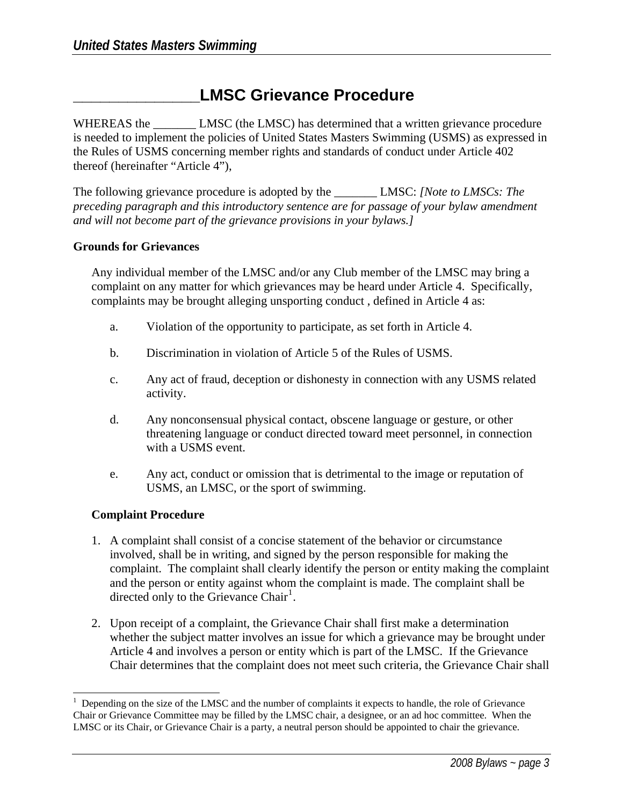# **\_\_\_\_\_\_\_\_\_\_\_\_\_\_LMSC Grievance Procedure**

WHEREAS the **LMSC** (the LMSC) has determined that a written grievance procedure is needed to implement the policies of United States Masters Swimming (USMS) as expressed in the Rules of USMS concerning member rights and standards of conduct under Article 402 thereof (hereinafter "Article 4"),

The following grievance procedure is adopted by the **LMSC:** *[Note to LMSCs: The*  $\frac{1}{2}$ *preceding paragraph and this introductory sentence are for passage of your bylaw amendment and will not become part of the grievance provisions in your bylaws.]* 

#### **Grounds for Grievances**

Any individual member of the LMSC and/or any Club member of the LMSC may bring a complaint on any matter for which grievances may be heard under Article 4. Specifically, complaints may be brought alleging unsporting conduct , defined in Article 4 as:

- a. Violation of the opportunity to participate, as set forth in Article 4.
- b. Discrimination in violation of Article 5 of the Rules of USMS.
- c. Any act of fraud, deception or dishonesty in connection with any USMS related activity.
- d. Any nonconsensual physical contact, obscene language or gesture, or other threatening language or conduct directed toward meet personnel, in connection with a USMS event.
- e. Any act, conduct or omission that is detrimental to the image or reputation of USMS, an LMSC, or the sport of swimming.

### **Complaint Procedure**

- 1. A complaint shall consist of a concise statement of the behavior or circumstance involved, shall be in writing, and signed by the person responsible for making the complaint. The complaint shall clearly identify the person or entity making the complaint and the person or entity against whom the complaint is made. The complaint shall be directed only to the Grievance Chair<sup>[1](#page-0-0)</sup>.
- 2. Upon receipt of a complaint, the Grievance Chair shall first make a determination whether the subject matter involves an issue for which a grievance may be brought under Article 4 and involves a person or entity which is part of the LMSC. If the Grievance Chair determines that the complaint does not meet such criteria, the Grievance Chair shall

<span id="page-0-0"></span>l 1 Depending on the size of the LMSC and the number of complaints it expects to handle, the role of Grievance Chair or Grievance Committee may be filled by the LMSC chair, a designee, or an ad hoc committee. When the LMSC or its Chair, or Grievance Chair is a party, a neutral person should be appointed to chair the grievance.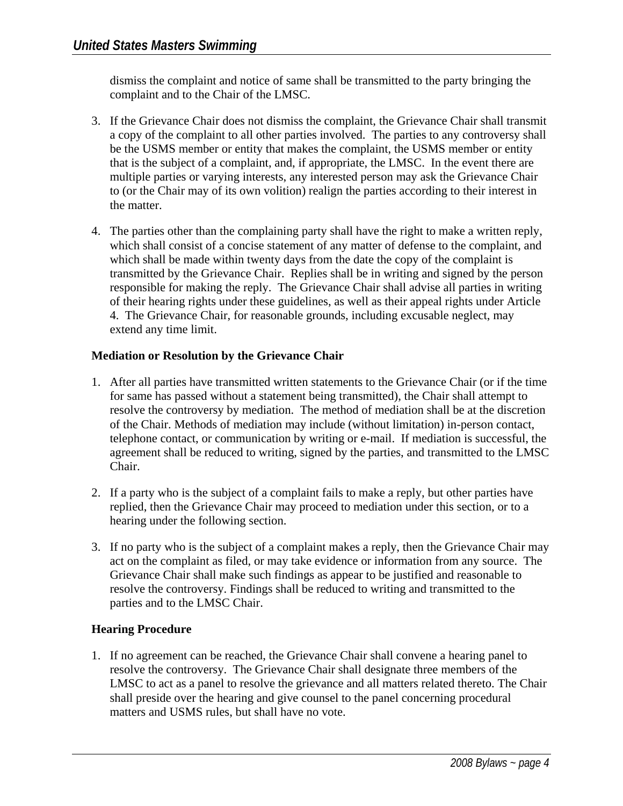dismiss the complaint and notice of same shall be transmitted to the party bringing the complaint and to the Chair of the LMSC.

- 3. If the Grievance Chair does not dismiss the complaint, the Grievance Chair shall transmit a copy of the complaint to all other parties involved. The parties to any controversy shall be the USMS member or entity that makes the complaint, the USMS member or entity that is the subject of a complaint, and, if appropriate, the LMSC. In the event there are multiple parties or varying interests, any interested person may ask the Grievance Chair to (or the Chair may of its own volition) realign the parties according to their interest in the matter.
- 4. The parties other than the complaining party shall have the right to make a written reply, which shall consist of a concise statement of any matter of defense to the complaint, and which shall be made within twenty days from the date the copy of the complaint is transmitted by the Grievance Chair. Replies shall be in writing and signed by the person responsible for making the reply. The Grievance Chair shall advise all parties in writing of their hearing rights under these guidelines, as well as their appeal rights under Article 4. The Grievance Chair, for reasonable grounds, including excusable neglect, may extend any time limit.

## **Mediation or Resolution by the Grievance Chair**

- 1. After all parties have transmitted written statements to the Grievance Chair (or if the time for same has passed without a statement being transmitted), the Chair shall attempt to resolve the controversy by mediation. The method of mediation shall be at the discretion of the Chair. Methods of mediation may include (without limitation) in-person contact, telephone contact, or communication by writing or e-mail. If mediation is successful, the agreement shall be reduced to writing, signed by the parties, and transmitted to the LMSC Chair.
- 2. If a party who is the subject of a complaint fails to make a reply, but other parties have replied, then the Grievance Chair may proceed to mediation under this section, or to a hearing under the following section.
- 3. If no party who is the subject of a complaint makes a reply, then the Grievance Chair may act on the complaint as filed, or may take evidence or information from any source. The Grievance Chair shall make such findings as appear to be justified and reasonable to resolve the controversy. Findings shall be reduced to writing and transmitted to the parties and to the LMSC Chair.

## **Hearing Procedure**

1. If no agreement can be reached, the Grievance Chair shall convene a hearing panel to resolve the controversy. The Grievance Chair shall designate three members of the LMSC to act as a panel to resolve the grievance and all matters related thereto. The Chair shall preside over the hearing and give counsel to the panel concerning procedural matters and USMS rules, but shall have no vote.